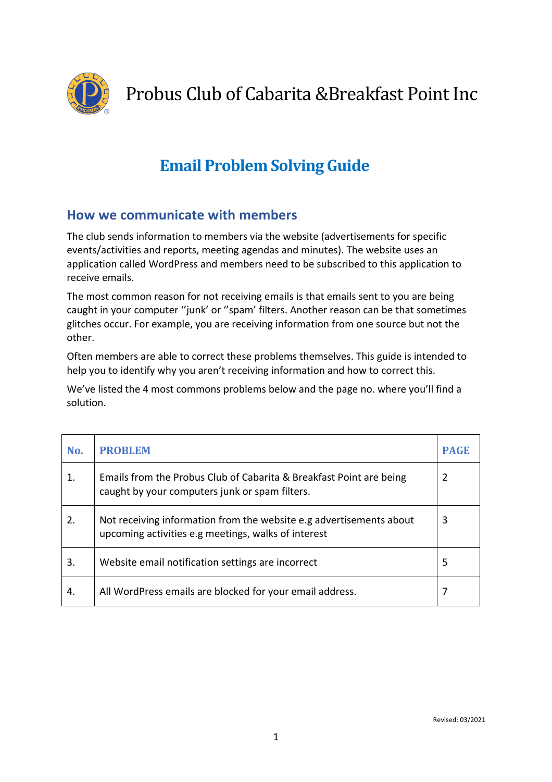

Probus Club of Cabarita &Breakfast Point Inc

# **Email Problem Solving Guide**

### **How we communicate with members**

The club sends information to members via the website (advertisements for specific events/activities and reports, meeting agendas and minutes). The website uses an application called WordPress and members need to be subscribed to this application to receive emails.

The most common reason for not receiving emails is that emails sent to you are being caught in your computer "junk' or "spam' filters. Another reason can be that sometimes glitches occur. For example, you are receiving information from one source but not the other.

Often members are able to correct these problems themselves. This guide is intended to help you to identify why you aren't receiving information and how to correct this.

We've listed the 4 most commons problems below and the page no. where you'll find a solution.

| No. | <b>PROBLEM</b>                                                                                                             | <b>PAGE</b> |
|-----|----------------------------------------------------------------------------------------------------------------------------|-------------|
| 1.  | Emails from the Probus Club of Cabarita & Breakfast Point are being<br>caught by your computers junk or spam filters.      | 2           |
| 2.  | Not receiving information from the website e.g advertisements about<br>upcoming activities e.g meetings, walks of interest | 3           |
| 3.  | Website email notification settings are incorrect                                                                          | 5           |
| 4.  | All WordPress emails are blocked for your email address.                                                                   |             |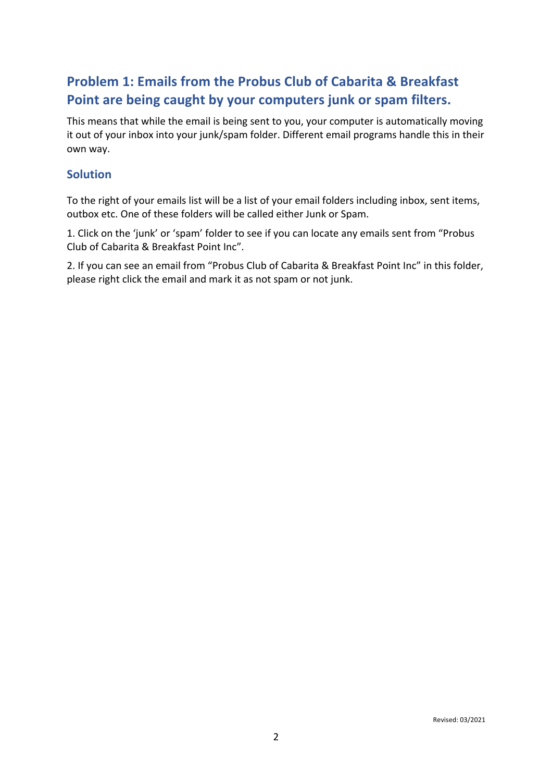## **Problem 1: Emails from the Probus Club of Cabarita & Breakfast** Point are being caught by your computers junk or spam filters.

This means that while the email is being sent to you, your computer is automatically moving it out of your inbox into your junk/spam folder. Different email programs handle this in their own way.

### **Solution**

To the right of your emails list will be a list of your email folders including inbox, sent items, outbox etc. One of these folders will be called either Junk or Spam.

1. Click on the 'junk' or 'spam' folder to see if you can locate any emails sent from "Probus Club of Cabarita & Breakfast Point Inc".

2. If you can see an email from "Probus Club of Cabarita & Breakfast Point Inc" in this folder, please right click the email and mark it as not spam or not junk.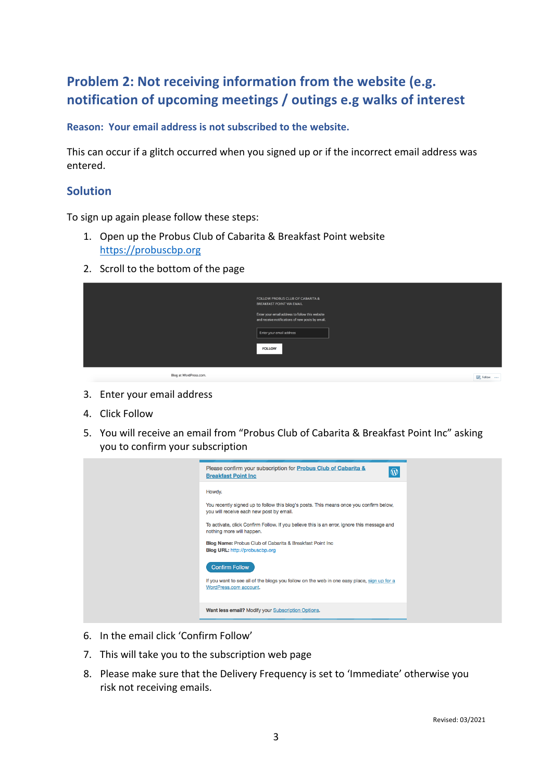# **Problem 2: Not receiving information from the website (e.g.** notification of upcoming meetings / outings e.g walks of interest

**Reason: Your email address is not subscribed to the website.** 

This can occur if a glitch occurred when you signed up or if the incorrect email address was entered.

### **Solution**

To sign up again please follow these steps:

- 1. Open up the Probus Club of Cabarita & Breakfast Point website https://probuscbp.org
- 2. Scroll to the bottom of the page

|                       | <b>FOLLOW PROBUS CLUB OF CABARITA &amp;</b><br><b>BREAKFAST POINT VIA EMAIL</b><br>Enter your email address to follow this website<br>and receive notifications of new posts by email. |                 |
|-----------------------|----------------------------------------------------------------------------------------------------------------------------------------------------------------------------------------|-----------------|
|                       | Enter your email address<br><b>FOLLOW</b>                                                                                                                                              |                 |
| Blog at WordPress.com |                                                                                                                                                                                        | and the control |

- 3. Enter your email address
- 4. Click Follow
- 5. You will receive an email from "Probus Club of Cabarita & Breakfast Point Inc" asking you to confirm your subscription

- 6. In the email click 'Confirm Follow'
- 7. This will take you to the subscription web page
- 8. Please make sure that the Delivery Frequency is set to 'Immediate' otherwise you risk not receiving emails.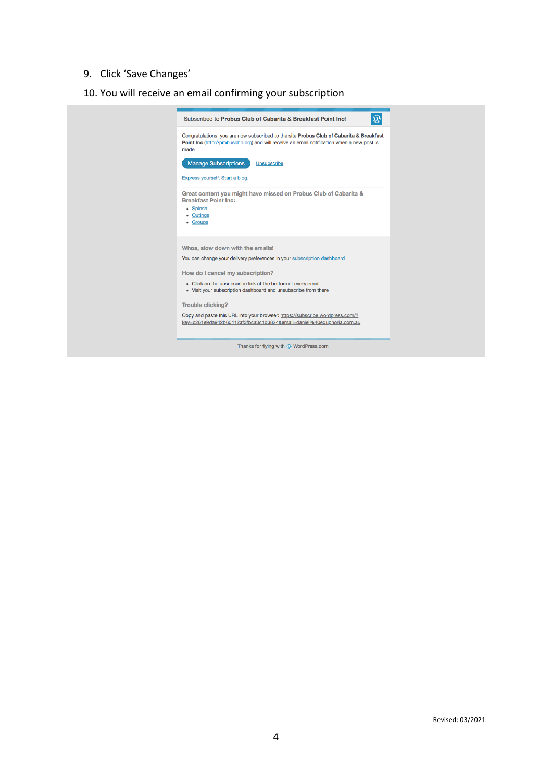## 9. Click 'Save Changes'

## 10. You will receive an email confirming your subscription

| $\circledR$<br>Subscribed to Probus Club of Cabarita & Breakfast Point Inc!                                                                                                                    |
|------------------------------------------------------------------------------------------------------------------------------------------------------------------------------------------------|
| Congratulations, you are now subscribed to the site Probus Club of Cabarita & Breakfast<br>Point Inc (http://probuscbp.org) and will receive an email notification when a new post is<br>made. |
| <b>Manage Subscriptions</b><br>Unsubscribe                                                                                                                                                     |
| Express yourself. Start a blog.                                                                                                                                                                |
| Great content you might have missed on Probus Club of Cabarita &<br><b>Breakfast Point Inc:</b><br>• Splash<br>• Outings<br>• Groups                                                           |
| Whoa, slow down with the emails!                                                                                                                                                               |
| You can change your delivery preferences in your subscription dashboard                                                                                                                        |
| How do I cancel my subscription?                                                                                                                                                               |
| • Click on the unsubscribe link at the bottom of every email<br>• Visit your subscription dashboard and unsubscribe from there                                                                 |
| <b>Trouble clicking?</b>                                                                                                                                                                       |
| Copy and paste this URL into your browser: https://subscribe.wordpress.com/?<br>key=c261e9da942b60412af3fbca3c1d3824&email=daniel%40eduphoria.com.au                                           |
| Thanks for flying with W WordPress.com                                                                                                                                                         |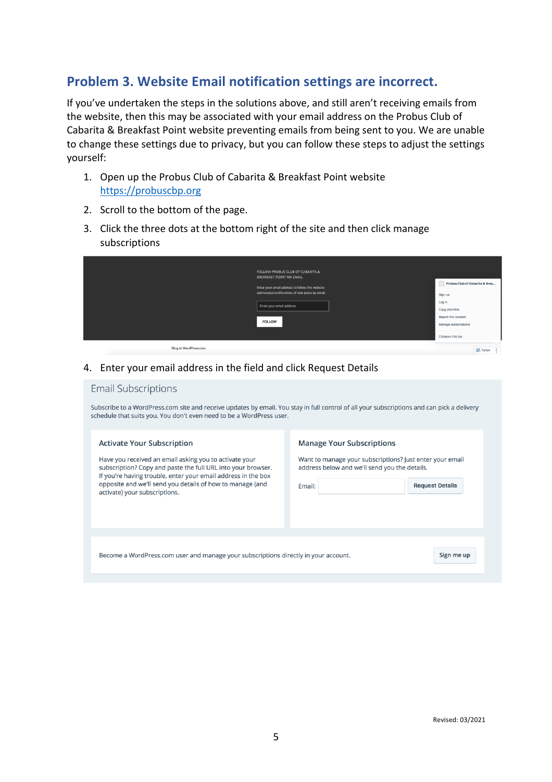### **Problem 3. Website Email notification settings are incorrect.**

If you've undertaken the steps in the solutions above, and still aren't receiving emails from the website, then this may be associated with your email address on the Probus Club of Cabarita & Breakfast Point website preventing emails from being sent to you. We are unable to change these settings due to privacy, but you can follow these steps to adjust the settings yourself:

- 1. Open up the Probus Club of Cabarita & Breakfast Point website https://probuscbp.org
- 2. Scroll to the bottom of the page.
- 3. Click the three dots at the bottom right of the site and then click manage subscriptions

| <b>FOLLOW PROBUS CLUB OF CABARITA &amp;</b><br><b>BREAKFAST POINT VIA EMAIL</b><br>Enter your email address to follow this website<br>and receive notifications of new posts by email.<br>Enter your email address<br><b>FOLLOW</b> | Probus Club of Cabarita & Brea<br>Sign up<br>Log in<br>Copy shortlink<br>Report this content<br>Manage subscriptions<br>Collapse this bar |               |
|-------------------------------------------------------------------------------------------------------------------------------------------------------------------------------------------------------------------------------------|-------------------------------------------------------------------------------------------------------------------------------------------|---------------|
| Blog at WordPress.com.                                                                                                                                                                                                              |                                                                                                                                           | Follow<br>- 1 |

#### 4. Enter your email address in the field and click Request Details

| <b>Email Subscriptions</b> |  |  |
|----------------------------|--|--|
|                            |  |  |

Subscribe to a WordPress.com site and receive updates by email. You stay in full control of all your subscriptions and can pick a delivery schedule that suits you. You don't even need to be a WordPress user.

| <b>Activate Your Subscription</b>                                                                                                                                                       | <b>Manage Your Subscriptions</b>                                                                          |
|-----------------------------------------------------------------------------------------------------------------------------------------------------------------------------------------|-----------------------------------------------------------------------------------------------------------|
| Have you received an email asking you to activate your<br>subscription? Copy and paste the full URL into your browser.<br>If you're having trouble, enter your email address in the box | Want to manage your subscriptions? Just enter your email<br>address below and we'll send you the details. |
| opposite and we'll send you details of how to manage (and<br>activate) your subscriptions.                                                                                              | <b>Request Details</b><br>Email:                                                                          |
|                                                                                                                                                                                         |                                                                                                           |
| Become a WordPress.com user and manage your subscriptions directly in your account.                                                                                                     | Sign me up                                                                                                |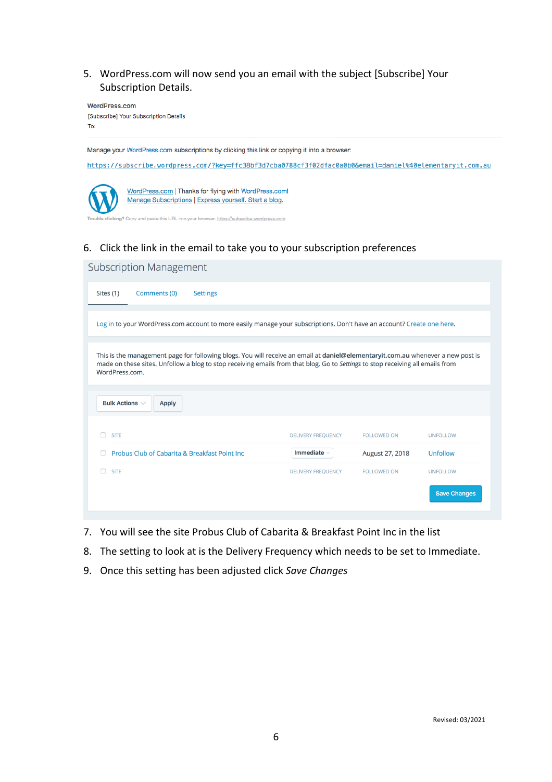### 5. WordPress.com will now send you an email with the subject [Subscribe] Your Subscription Details.

WordPress.com [Subscribe] Your Subscription Details To:

Manage your WordPress.com subscriptions by clicking this link or copying it into a browser:

https://subscribe.wordpress.com/?key=ffc38bf3d7cba0788cf3f02dfac0a0b0&email=daniel%40elementaryit.com.au



WordPress.com | Thanks for flying with WordPress.com! Manage Subscriptions | Express yourself. Start a blog.

nd paste this URL into your browser: <u>https://subscribe.wordpress.com</u>

### 6. Click the link in the email to take you to your subscription preferences

| <b>Subscription Management</b>                                                                                                                                                                                                                                                      |                           |                    |                     |
|-------------------------------------------------------------------------------------------------------------------------------------------------------------------------------------------------------------------------------------------------------------------------------------|---------------------------|--------------------|---------------------|
| Sites (1)<br>Comments (0)<br><b>Settings</b>                                                                                                                                                                                                                                        |                           |                    |                     |
| Log in to your WordPress.com account to more easily manage your subscriptions. Don't have an account? Create one here.                                                                                                                                                              |                           |                    |                     |
| This is the management page for following blogs. You will receive an email at daniel@elementaryit.com.au whenever a new post is<br>made on these sites. Unfollow a blog to stop receiving emails from that blog. Go to Settings to stop receiving all emails from<br>WordPress.com. |                           |                    |                     |
| <b>Bulk Actions <math>\vee</math></b><br><b>Apply</b>                                                                                                                                                                                                                               |                           |                    |                     |
| <b>SITE</b>                                                                                                                                                                                                                                                                         | <b>DELIVERY FREQUENCY</b> | <b>FOLLOWED ON</b> | <b>UNFOLLOW</b>     |
| Probus Club of Cabarita & Breakfast Point Inc.                                                                                                                                                                                                                                      | <b>Immediate</b>          | August 27, 2018    | <b>Unfollow</b>     |
| <b>SITE</b>                                                                                                                                                                                                                                                                         | <b>DELIVERY FREQUENCY</b> | <b>FOLLOWED ON</b> | <b>UNFOLLOW</b>     |
|                                                                                                                                                                                                                                                                                     |                           |                    | <b>Save Changes</b> |

- 7. You will see the site Probus Club of Cabarita & Breakfast Point Inc in the list
- 8. The setting to look at is the Delivery Frequency which needs to be set to Immediate.
- 9. Once this setting has been adjusted click Save Changes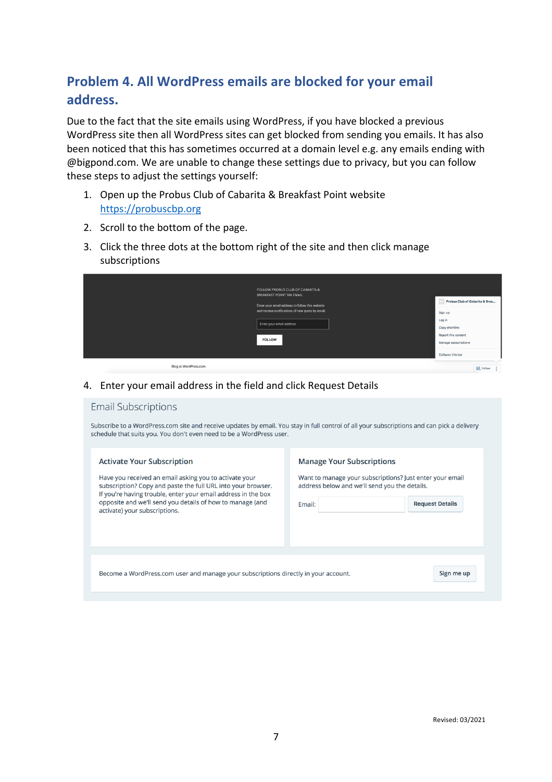# **Problem 4. All WordPress emails are blocked for your email** address.

Due to the fact that the site emails using WordPress, if you have blocked a previous WordPress site then all WordPress sites can get blocked from sending you emails. It has also been noticed that this has sometimes occurred at a domain level e.g. any emails ending with @bigpond.com. We are unable to change these settings due to privacy, but you can follow these steps to adjust the settings yourself:

- 1. Open up the Probus Club of Cabarita & Breakfast Point website https://probuscbp.org
- 2. Scroll to the bottom of the page.
- 3. Click the three dots at the bottom right of the site and then click manage subscriptions

|                        | <b>FOLLOW PROBUS CLUB OF CABARITA &amp;</b><br><b>BREAKFAST POINT VIA EMAIL</b> |                                   |
|------------------------|---------------------------------------------------------------------------------|-----------------------------------|
|                        | Enter your email address to follow this website                                 | Probus Club of Cabarita & Brea    |
|                        | and receive notifications of new posts by email.                                | Sign up                           |
|                        | Enter your email address                                                        | Log in<br>Copy shortlink          |
|                        |                                                                                 | Report this content               |
|                        | <b>FOLLOW</b>                                                                   | Manage subscriptions              |
|                        |                                                                                 | Collapse this bar                 |
| Blog at WordPress.com. |                                                                                 | <b>Contract Contract Contract</b> |

4. Enter your email address in the field and click Request Details

#### **Email Subscriptions**

Subscribe to a WordPress.com site and receive updates by email. You stay in full control of all your subscriptions and can pick a delivery schedule that suits you. You don't even need to be a WordPress user.

#### **Activate Your Subscription**

Have you received an email asking you to activate your subscription? Copy and paste the full URL into your browser. If you're having trouble, enter your email address in the box opposite and we'll send you details of how to manage (and activate) your subscriptions.

#### **Manage Your Subscriptions**

Want to manage your subscriptions? Just enter your email address below and we'll send you the details.

**Request Details** 

Sign me up

| Email: |  |
|--------|--|
|        |  |

Become a WordPress.com user and manage your subscriptions directly in your account.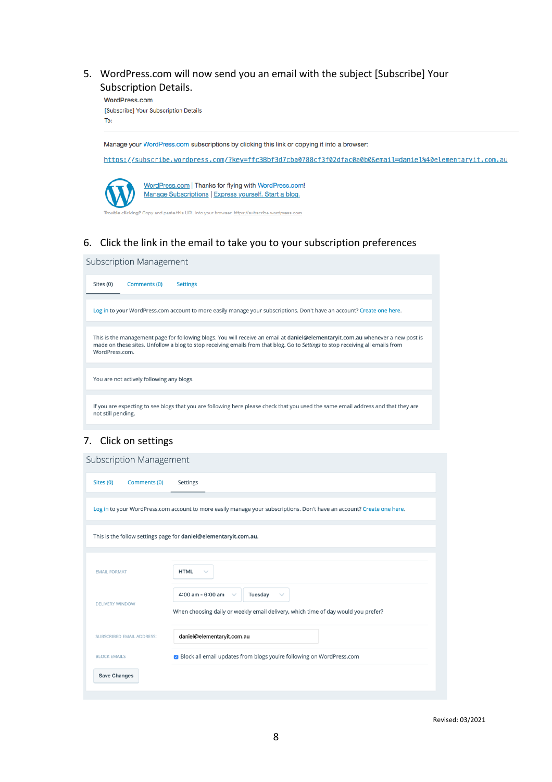5. WordPress.com will now send you an email with the subject [Subscribe] Your Subscription Details.

WordPress.com [Subscribe] Your Subscription Details To:

Manage your WordPress.com subscriptions by clicking this link or copying it into a browser:

https://subscribe.wordpress.com/?key=ffc38bf3d7cba0788cf3f02dfac0a0b0&email=daniel%40elementaryit.com.au



WordPress.com | Thanks for flying with WordPress.com! Manage Subscriptions | Express yourself. Start a blog.

nd paste this URL into your browser: <u>https://subscribe.wordpress.com</u>

### 6. Click the link in the email to take you to your subscription preferences

| Subscription Management                                                                                                                                                                                                                                                             |
|-------------------------------------------------------------------------------------------------------------------------------------------------------------------------------------------------------------------------------------------------------------------------------------|
| Comments (0)<br>Sites (0)<br><b>Settings</b>                                                                                                                                                                                                                                        |
| Log in to your WordPress.com account to more easily manage your subscriptions. Don't have an account? Create one here.                                                                                                                                                              |
| This is the management page for following blogs. You will receive an email at daniel@elementaryit.com.au whenever a new post is<br>made on these sites. Unfollow a blog to stop receiving emails from that blog. Go to Settings to stop receiving all emails from<br>WordPress.com. |
| You are not actively following any blogs.                                                                                                                                                                                                                                           |
| If you are expecting to see blogs that you are following here please check that you used the same email address and that they are<br>not still pending.                                                                                                                             |

#### 7. Click on settings

**Subscription Management** 

| Sites (0)<br>Comments (0)        | Settings                                                                                                                                          |
|----------------------------------|---------------------------------------------------------------------------------------------------------------------------------------------------|
|                                  | Log in to your WordPress.com account to more easily manage your subscriptions. Don't have an account? Create one here.                            |
|                                  | This is the follow settings page for daniel@elementaryit.com.au.                                                                                  |
|                                  |                                                                                                                                                   |
| <b>EMAIL FORMAT</b>              | <b>HTML</b>                                                                                                                                       |
| <b>DELIVERY WINDOW</b>           | 4:00 am - 6:00 am<br>Tuesday<br>$\checkmark$<br>$\checkmark$<br>When choosing daily or weekly email delivery, which time of day would you prefer? |
| <b>SUBSCRIBED EMAIL ADDRESS:</b> | daniel@elementaryit.com.au                                                                                                                        |
| <b>BLOCK EMAILS</b>              | ■ Block all email updates from blogs you're following on WordPress.com                                                                            |
| <b>Save Changes</b>              |                                                                                                                                                   |
|                                  |                                                                                                                                                   |